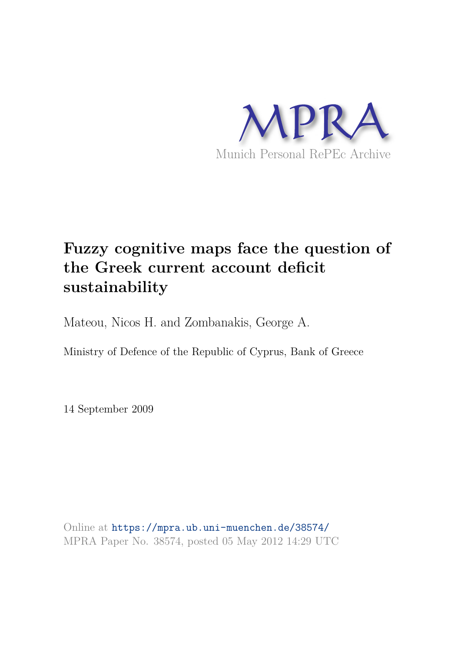

# **Fuzzy cognitive maps face the question of the Greek current account deficit sustainability**

Mateou, Nicos H. and Zombanakis, George A.

Ministry of Defence of the Republic of Cyprus, Bank of Greece

14 September 2009

Online at https://mpra.ub.uni-muenchen.de/38574/ MPRA Paper No. 38574, posted 05 May 2012 14:29 UTC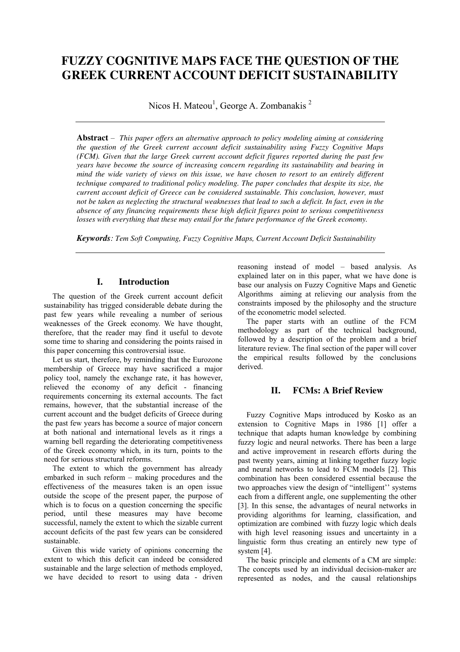# **FUZZY COGNITIVE MAPS FACE THE QUESTION OF THE GREEK CURRENT ACCOUNT DEFICIT SUSTAINABILITY**

Nicos H. Mateou<sup>1</sup>, George A. Zombanakis<sup>2</sup>

**Abstract** – *This paper offers an alternative approach to policy modeling aiming at considering the question of the Greek current account deficit sustainability using Fuzzy Cognitive Maps (FCM). Given that the large Greek current account deficit figures reported during the past few years have become the source of increasing concern regarding its sustainability and bearing in mind the wide variety of views on this issue, we have chosen to resort to an entirely different technique compared to traditional policy modeling. The paper concludes that despite its size, the current account deficit of Greece can be considered sustainable. This conclusion, however, must not be taken as neglecting the structural weaknesses that lead to such a deficit. In fact, even in the absence of any financing requirements these high deficit figures point to serious competitiveness losses with everything that these may entail for the future performance of the Greek economy.* 

*Keywords: Tem Soft Computing, Fuzzy Cognitive Maps, Current Account Deficit Sustainability* 

## **I. Introduction**

The question of the Greek current account deficit sustainability has trigged considerable debate during the past few years while revealing a number of serious weaknesses of the Greek economy. We have thought, therefore, that the reader may find it useful to devote some time to sharing and considering the points raised in this paper concerning this controversial issue.

Let us start, therefore, by reminding that the Eurozone membership of Greece may have sacrificed a major policy tool, namely the exchange rate, it has however, relieved the economy of any deficit - financing requirements concerning its external accounts. The fact remains, however, that the substantial increase of the current account and the budget deficits of Greece during the past few years has become a source of major concern at both national and international levels as it rings a warning bell regarding the deteriorating competitiveness of the Greek economy which, in its turn, points to the need for serious structural reforms.

The extent to which the government has already embarked in such reform – making procedures and the effectiveness of the measures taken is an open issue outside the scope of the present paper, the purpose of which is to focus on a question concerning the specific period, until these measures may have become successful, namely the extent to which the sizable current account deficits of the past few years can be considered sustainable.

Given this wide variety of opinions concerning the extent to which this deficit can indeed be considered sustainable and the large selection of methods employed, we have decided to resort to using data - driven reasoning instead of model – based analysis. As explained later on in this paper, what we have done is base our analysis on Fuzzy Cognitive Maps and Genetic Algorithms aiming at relieving our analysis from the constraints imposed by the philosophy and the structure of the econometric model selected.

The paper starts with an outline of the FCM methodology as part of the technical background, followed by a description of the problem and a brief literature review. The final section of the paper will cover the empirical results followed by the conclusions derived.

# **II. FCMs: A Brief Review**

Fuzzy Cognitive Maps introduced by Kosko as an extension to Cognitive Maps in 1986 [1] offer a technique that adapts human knowledge by combining fuzzy logic and neural networks. There has been a large and active improvement in research efforts during the past twenty years, aiming at linking together fuzzy logic and neural networks to lead to FCM models [2]. This combination has been considered essential because the two approaches view the design of "intelligent'' systems each from a different angle, one supplementing the other [3]. In this sense, the advantages of neural networks in providing algorithms for learning, classification, and optimization are combined with fuzzy logic which deals with high level reasoning issues and uncertainty in a linguistic form thus creating an entirely new type of system [4].

The basic principle and elements of a CM are simple: The concepts used by an individual decision-maker are represented as nodes, and the causal relationships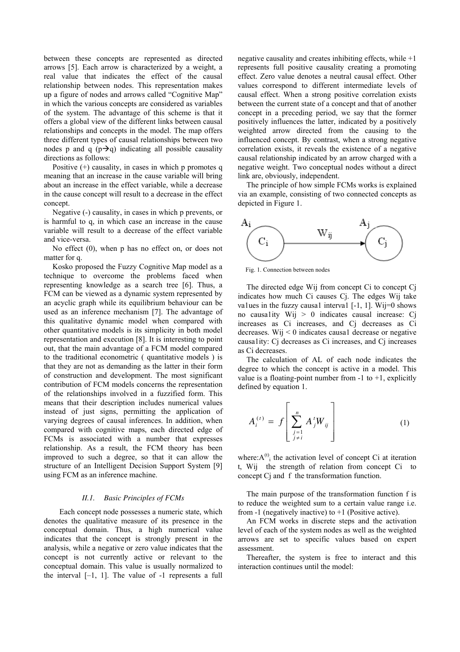between these concepts are represented as directed arrows [5]. Each arrow is characterized by a weight, a real value that indicates the effect of the causal relationship between nodes. This representation makes up a figure of nodes and arrows called "Cognitive Map" in which the various concepts are considered as variables of the system. The advantage of this scheme is that it offers a global view of the different links between causal relationships and concepts in the model. The map offers three different types of causal relationships between two nodes p and q  $(p\rightarrow q)$  indicating all possible causality directions as follows:

Positive  $(+)$  causality, in cases in which p promotes q meaning that an increase in the cause variable will bring about an increase in the effect variable, while a decrease in the cause concept will result to a decrease in the effect concept.

Negative (-) causality, in cases in which p prevents, or is harmful to q, in which case an increase in the cause variable will result to a decrease of the effect variable and vice-versa.

No effect (0), when p has no effect on, or does not matter for q.

Kosko proposed the Fuzzy Cognitive Map model as a technique to overcome the problems faced when representing knowledge as a search tree [6]. Thus, a FCM can be viewed as a dynamic system represented by an acyclic graph while its equilibrium behaviour can be used as an inference mechanism [7]. The advantage of this qualitative dynamic model when compared with other quantitative models is its simplicity in both model representation and execution [8]. It is interesting to point out, that the main advantage of a FCM model compared to the traditional econometric ( quantitative models ) is that they are not as demanding as the latter in their form of construction and development. The most significant contribution of FCM models concerns the representation of the relationships involved in a fuzzified form. This means that their description includes numerical values instead of just signs, permitting the application of varying degrees of causal inferences. In addition, when compared with cognitive maps, each directed edge of FCMs is associated with a number that expresses relationship. As a result, the FCM theory has been improved to such a degree, so that it can allow the structure of an Intelligent Decision Support System [9] using FCM as an inference machine.

#### *II.1. Basic Principles of FCMs*

Each concept node possesses a numeric state, which denotes the qualitative measure of its presence in the conceptual domain. Thus, a high numerical value indicates that the concept is strongly present in the analysis, while a negative or zero value indicates that the concept is not currently active or relevant to the conceptual domain. This value is usually normalized to the interval  $[-1, 1]$ . The value of  $-1$  represents a full

negative causality and creates inhibiting effects, while  $+1$ represents full positive causality creating a promoting effect. Zero value denotes a neutral causal effect. Other values correspond to different intermediate levels of causal effect. When a strong positive correlation exists between the current state of a concept and that of another concept in a preceding period, we say that the former positively influences the latter, indicated by a positively weighted arrow directed from the causing to the influenced concept. By contrast, when a strong negative correlation exists, it reveals the existence of a negative causal relationship indicated by an arrow charged with a negative weight. Two conceptual nodes without a direct link are, obviously, independent.

The principle of how simple FCMs works is explained via an example, consisting of two connected concepts as depicted in Figure 1.



Fig. 1. Connection between nodes

The directed edge Wij from concept Ci to concept Cj indicates how much Ci causes Cj. The edges Wij take values in the fuzzy causal interval  $[-1, 1]$ . Wij=0 shows no causa1ity Wij  $> 0$  indicates causal increase: Cj increases as Ci increases, and Cj decreases as Ci decreases. Wij  $\leq 0$  indicates causal decrease or negative causa1ity: Cj decreases as Ci increases, and Cj increases as Ci decreases.

The calculation of AL of each node indicates the degree to which the concept is active in a model. This value is a floating-point number from  $-1$  to  $+1$ , explicitly defined by equation 1.

$$
A_i^{(t)} = f\left[\sum_{\substack{j=1 \ j \neq i}}^n A_j^t W_{ij}\right]
$$
 (1)

where: $A^{(t)}$ <sub>i</sub> the activation level of concept Ci at iteration t, Wij the strength of relation from concept Ci to concept Cj and f the transformation function.

The main purpose of the transformation function f is to reduce the weighted sum to a certain value range i.e. from -1 (negatively inactive) to  $+1$  (Positive active).

An FCM works in discrete steps and the activation level of each of the system nodes as well as the weighted arrows are set to specific values based on expert assessment.

Thereafter, the system is free to interact and this interaction continues until the model: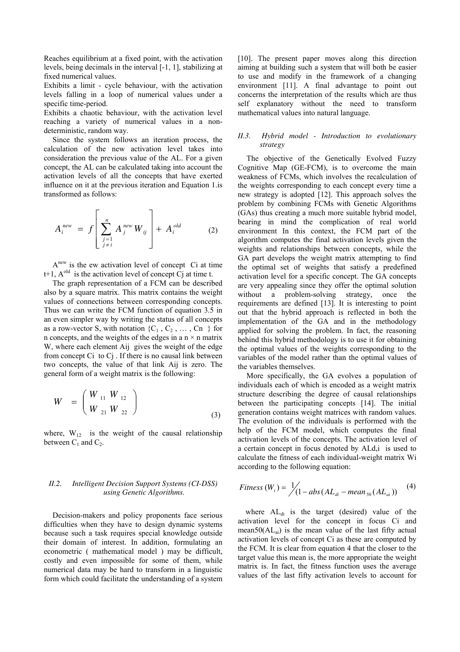Reaches equilibrium at a fixed point, with the activation levels, being decimals in the interval [-1, 1], stabilizing at fixed numerical values.

Exhibits a limit - cycle behaviour, with the activation levels falling in a loop of numerical values under a specific time-period.

Exhibits a chaotic behaviour, with the activation level reaching a variety of numerical values in a nondeterministic, random way.

Since the system follows an iteration process, the calculation of the new activation level takes into consideration the previous value of the AL. For a given concept, the AL can be calculated taking into account the activation levels of all the concepts that have exerted influence on it at the previous iteration and Equation 1.is transformed as follows:

$$
A_i^{new} = f \left[ \sum_{\substack{j=1 \ j \neq i}}^n A_j^{new} W_{ij} \right] + A_i^{old}
$$
 (2)

A<sup>new</sup> is the ew activation level of concept Ci at time t+1,  $A^{old}$  is the activation level of concept C at time t.

The graph representation of a FCM can be described also by a square matrix. This matrix contains the weight values of connections between corresponding concepts. Thus we can write the FCM function of equation 3.5 in an even simpler way by writing the status of all concepts as a row-vector S, with notation  $\{C_1, C_2, \ldots, C_n\}$  for n concepts, and the weights of the edges in a  $n \times n$  matrix W, where each element Aij gives the weight of the edge from concept Ci to Cj . If there is no causal link between two concepts, the value of that link Aij is zero. The general form of a weight matrix is the following:

$$
W = \left(\begin{array}{cc} W_{11} & W_{12} \\ W_{21} & W_{22} \end{array}\right) \tag{3}
$$

where,  $W_{12}$  is the weight of the causal relationship between  $C_1$  and  $C_2$ .

# *II.2. Intelligent Decision Support Systems (CI-DSS) using Genetic Algorithms.*

Decision-makers and policy proponents face serious difficulties when they have to design dynamic systems because such a task requires special knowledge outside their domain of interest. In addition, formulating an econometric ( mathematical model ) may be difficult, costly and even impossible for some of them, while numerical data may be hard to transform in a linguistic form which could facilitate the understanding of a system [10]. The present paper moves along this direction aiming at building such a system that will both be easier to use and modify in the framework of a changing environment [11]. A final advantage to point out concerns the interpretation of the results which are thus self explanatory without the need to transform mathematical values into natural language.

#### *II.3. Hybrid model - Introduction to evolutionary strategy*

The objective of the Genetically Evolved Fuzzy Cognitive Map (GE-FCM), is to overcome the main weakness of FCMs, which involves the recalculation of the weights corresponding to each concept every time a new strategy is adopted [12]. This approach solves the problem by combining FCMs with Genetic Algorithms (GAs) thus creating a much more suitable hybrid model, bearing in mind the complication of real world environment In this context, the FCM part of the algorithm computes the final activation levels given the weights and relationships between concepts, while the GA part develops the weight matrix attempting to find the optimal set of weights that satisfy a predefined activation level for a specific concept. The GA concepts are very appealing since they offer the optimal solution without a problem-solving strategy, once the requirements are defined [13]. It is interesting to point out that the hybrid approach is reflected in both the implementation of the GA and in the methodology applied for solving the problem. In fact, the reasoning behind this hybrid methodology is to use it for obtaining the optimal values of the weights corresponding to the variables of the model rather than the optimal values of the variables themselves.

More specifically, the GA evolves a population of individuals each of which is encoded as a weight matrix structure describing the degree of causal relationships between the participating concepts [14]. The initial generation contains weight matrices with random values. The evolution of the individuals is performed with the help of the FCM model, which computes the final activation levels of the concepts. The activation level of a certain concept in focus denoted by ALd,i is used to calculate the fitness of each individual-weight matrix Wi according to the following equation:

$$
Fitness (Wi) = \frac{1}{2} \Big( 1 - abs(ALdi - mean50(ALai)) \Big)
$$
 (4)

where  $AL_{di}$  is the target (desired) value of the activation level for the concept in focus Ci and mean50 $(AL_{ai})$  is the mean value of the last fifty actual activation levels of concept Ci as these are computed by the FCM. It is clear from equation 4 that the closer to the target value this mean is, the more appropriate the weight matrix is. In fact, the fitness function uses the average values of the last fifty activation levels to account for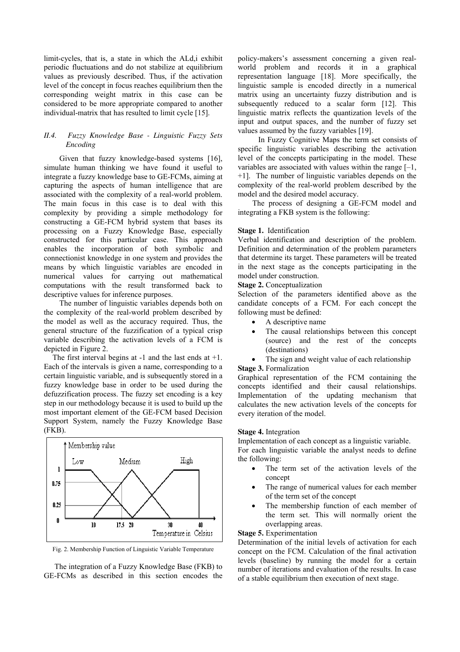limit-cycles, that is, a state in which the ALd,i exhibit periodic fluctuations and do not stabilize at equilibrium values as previously described. Thus, if the activation level of the concept in focus reaches equilibrium then the corresponding weight matrix in this case can be considered to be more appropriate compared to another individual-matrix that has resulted to limit cycle [15].

#### *II.4. Fuzzy Knowledge Base - Linguistic Fuzzy Sets Encoding*

 Given that fuzzy knowledge-based systems [16], simulate human thinking we have found it useful to integrate a fuzzy knowledge base to GE-FCMs, aiming at capturing the aspects of human intelligence that are associated with the complexity of a real-world problem. The main focus in this case is to deal with this complexity by providing a simple methodology for constructing a GE-FCM hybrid system that bases its processing on a Fuzzy Knowledge Base, especially constructed for this particular case. This approach enables the incorporation of both symbolic and connectionist knowledge in one system and provides the means by which linguistic variables are encoded in numerical values for carrying out mathematical computations with the result transformed back to descriptive values for inference purposes.

 The number of linguistic variables depends both on the complexity of the real-world problem described by the model as well as the accuracy required. Thus, the general structure of the fuzzification of a typical crisp variable describing the activation levels of a FCM is depicted in Figure 2.

The first interval begins at -1 and the last ends at +1. Each of the intervals is given a name, corresponding to a certain linguistic variable, and is subsequently stored in a fuzzy knowledge base in order to be used during the defuzzification process. The fuzzy set encoding is a key step in our methodology because it is used to build up the most important element of the GE-FCM based Decision Support System, namely the Fuzzy Knowledge Base (FKB).



Fig. 2. Membership Function of Linguistic Variable Temperature

 The integration of a Fuzzy Knowledge Base (FKB) to GE-FCMs as described in this section encodes the policy-makers's assessment concerning a given realworld problem and records it in a graphical representation language [18]. More specifically, the linguistic sample is encoded directly in a numerical matrix using an uncertainty fuzzy distribution and is subsequently reduced to a scalar form [12]. This linguistic matrix reflects the quantization levels of the input and output spaces, and the number of fuzzy set values assumed by the fuzzy variables [19].

 In Fuzzy Cognitive Maps the term set consists of specific linguistic variables describing the activation level of the concepts participating in the model. These variables are associated with values within the range [–1, +1]. The number of linguistic variables depends on the complexity of the real-world problem described by the model and the desired model accuracy.

 The process of designing a GE-FCM model and integrating a FKB system is the following:

#### **Stage 1.** Identification

Verbal identification and description of the problem. Definition and determination of the problem parameters that determine its target. These parameters will be treated in the next stage as the concepts participating in the model under construction.

#### **Stage 2.** Conceptualization

Selection of the parameters identified above as the candidate concepts of a FCM. For each concept the following must be defined:

- A descriptive name
- The causal relationships between this concept (source) and the rest of the concepts (destinations)
- The sign and weight value of each relationship

## **Stage 3.** Formalization

Graphical representation of the FCM containing the concepts identified and their causal relationships. Implementation of the updating mechanism that calculates the new activation levels of the concepts for every iteration of the model.

#### **Stage 4.** Integration

Implementation of each concept as a linguistic variable. For each linguistic variable the analyst needs to define the following:

- The term set of the activation levels of the concept
- The range of numerical values for each member of the term set of the concept
- The membership function of each member of the term set. This will normally orient the overlapping areas.

#### **Stage 5.** Experimentation

Determination of the initial levels of activation for each concept on the FCM. Calculation of the final activation levels (baseline) by running the model for a certain number of iterations and evaluation of the results. In case of a stable equilibrium then execution of next stage.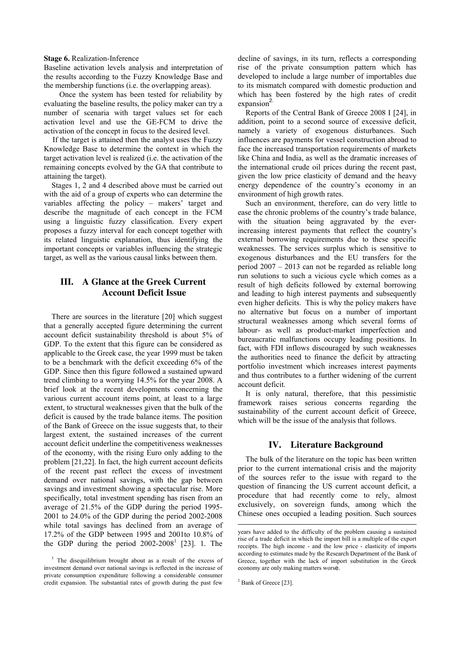#### **Stage 6.** Realization-Inference

Baseline activation levels analysis and interpretation of the results according to the Fuzzy Knowledge Base and the membership functions (i.e. the overlapping areas).

 Once the system has been tested for reliability by evaluating the baseline results, the policy maker can try a number of scenaria with target values set for each activation level and use the GE-FCM to drive the activation of the concept in focus to the desired level.

If the target is attained then the analyst uses the Fuzzy Knowledge Base to determine the context in which the target activation level is realized (i.e. the activation of the remaining concepts evolved by the GA that contribute to attaining the target).

Stages 1, 2 and 4 described above must be carried out with the aid of a group of experts who can determine the variables affecting the policy – makers' target and describe the magnitude of each concept in the FCM using a linguistic fuzzy classification. Every expert proposes a fuzzy interval for each concept together with its related linguistic explanation, thus identifying the important concepts or variables influencing the strategic target, as well as the various causal links between them.

# **III. A Glance at the Greek Current Account Deficit Issue**

There are sources in the literature [20] which suggest that a generally accepted figure determining the current account deficit sustainability threshold is about 5% of GDP. To the extent that this figure can be considered as applicable to the Greek case, the year 1999 must be taken to be a benchmark with the deficit exceeding 6% of the GDP. Since then this figure followed a sustained upward trend climbing to a worrying 14.5% for the year 2008. A brief look at the recent developments concerning the various current account items point, at least to a large extent, to structural weaknesses given that the bulk of the deficit is caused by the trade balance items. The position of the Bank of Greece on the issue suggests that, to their largest extent, the sustained increases of the current account deficit underline the competitiveness weaknesses of the economy, with the rising Euro only adding to the problem [21,22]. In fact, the high current account deficits of the recent past reflect the excess of investment demand over national savings, with the gap between savings and investment showing a spectacular rise. More specifically, total investment spending has risen from an average of 21.5% of the GDP during the period 1995- 2001 to 24.0% of the GDP during the period 2002-2008 while total savings has declined from an average of 17.2% of the GDP between 1995 and 2001to 10.8% of the GDP during the period  $2002-2008<sup>1</sup>$  [23]. 1. The decline of savings, in its turn, reflects a corresponding rise of the private consumption pattern which has developed to include a large number of importables due to its mismatch compared with domestic production and which has been fostered by the high rates of credit expansion<sup>2.</sup>

Reports of the Central Bank of Greece 2008 I [24], in addition, point to a second source of excessive deficit, namely a variety of exogenous disturbances. Such influences are payments for vessel construction abroad to face the increased transportation requirements of markets like China and India, as well as the dramatic increases of the international crude oil prices during the recent past, given the low price elasticity of demand and the heavy energy dependence of the country's economy in an environment of high growth rates.

Such an environment, therefore, can do very little to ease the chronic problems of the country's trade balance, with the situation being aggravated by the everincreasing interest payments that reflect the country's external borrowing requirements due to these specific weaknesses. The services surplus which is sensitive to exogenous disturbances and the EU transfers for the period 2007 – 2013 can not be regarded as reliable long run solutions to such a vicious cycle which comes as a result of high deficits followed by external borrowing and leading to high interest payments and subsequently even higher deficits. This is why the policy makers have no alternative but focus on a number of important structural weaknesses among which several forms of labour- as well as product-market imperfection and bureaucratic malfunctions occupy leading positions. In fact, with FDI inflows discouraged by such weaknesses the authorities need to finance the deficit by attracting portfolio investment which increases interest payments and thus contributes to a further widening of the current account deficit.

It is only natural, therefore, that this pessimistic framework raises serious concerns regarding the sustainability of the current account deficit of Greece, which will be the issue of the analysis that follows.

#### **IV. Literature Background**

The bulk of the literature on the topic has been written prior to the current international crisis and the majority of the sources refer to the issue with regard to the question of financing the US current account deficit, a procedure that had recently come to rely, almost exclusively, on sovereign funds, among which the Chinese ones occupied a leading position. Such sources

 $<sup>2</sup>$  Bank of Greece [23].</sup>

j

<sup>&</sup>lt;sup>1</sup> The disequilibrium brought about as a result of the excess of investment demand over national savings is reflected in the increase of private consumption expenditure following a considerable consumer credit expansion. The substantial rates of growth during the past few

years have added to the difficulty of the problem causing a sustained rise of a trade deficit in which the import bill is a multiple of the export receipts. The high income - and the low price - elasticity of imports according to estimates made by the Research Department of the Bank of Greece, together with the lack of import substitution in the Greek economy are only making matters worse.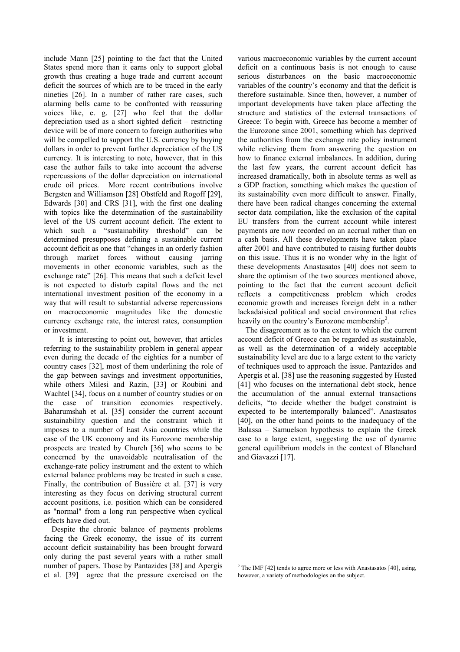include Mann [25] pointing to the fact that the United States spend more than it earns only to support global growth thus creating a huge trade and current account deficit the sources of which are to be traced in the early nineties [26]. In a number of rather rare cases, such alarming bells came to be confronted with reassuring voices like, e. g. [27] who feel that the dollar depreciation used as a short sighted deficit – restricting device will be of more concern to foreign authorities who will be compelled to support the U.S. currency by buying dollars in order to prevent further depreciation of the US currency. It is interesting to note, however, that in this case the author fails to take into account the adverse repercussions of the dollar depreciation on international crude oil prices. More recent contributions involve Bergsten and Williamson [28] Obstfeld and Rogoff [29], Edwards [30] and CRS [31], with the first one dealing with topics like the determination of the sustainability level of the US current account deficit. The extent to which such a "sustainability threshold" can be determined presupposes defining a sustainable current account deficit as one that "changes in an orderly fashion through market forces without causing jarring movements in other economic variables, such as the exchange rate" [26]. This means that such a deficit level is not expected to disturb capital flows and the net international investment position of the economy in a way that will result to substantial adverse repercussions on macroeconomic magnitudes like the domestic currency exchange rate, the interest rates, consumption or investment.

 It is interesting to point out, however, that articles referring to the sustainability problem in general appear even during the decade of the eighties for a number of country cases [32], most of them underlining the role of the gap between savings and investment opportunities, while others Milesi and Razin, [33] or Roubini and Wachtel [34], focus on a number of country studies or on the case of transition economies respectively. Baharumshah et al. [35] consider the current account sustainability question and the constraint which it imposes to a number of East Asia countries while the case of the UK economy and its Eurozone membership prospects are treated by Church [36] who seems to be concerned by the unavoidable neutralisation of the exchange-rate policy instrument and the extent to which external balance problems may be treated in such a case. Finally, the contribution of Bussière et al. [37] is very interesting as they focus on deriving structural current account positions, i.e. position which can be considered as "normal" from a long run perspective when cyclical effects have died out.

Despite the chronic balance of payments problems facing the Greek economy, the issue of its current account deficit sustainability has been brought forward only during the past several years with a rather small number of papers. Those by Pantazides [38] and Apergis et al. [39] agree that the pressure exercised on the various macroeconomic variables by the current account deficit on a continuous basis is not enough to cause serious disturbances on the basic macroeconomic variables of the country's economy and that the deficit is therefore sustainable. Since then, however, a number of important developments have taken place affecting the structure and statistics of the external transactions of Greece: To begin with, Greece has become a member of the Eurozone since 2001, something which has deprived the authorities from the exchange rate policy instrument while relieving them from answering the question on how to finance external imbalances. In addition, during the last few years, the current account deficit has increased dramatically, both in absolute terms as well as a GDP fraction, something which makes the question of its sustainability even more difficult to answer. Finally, there have been radical changes concerning the external sector data compilation, like the exclusion of the capital EU transfers from the current account while interest payments are now recorded on an accrual rather than on a cash basis. All these developments have taken place after 2001 and have contributed to raising further doubts on this issue. Thus it is no wonder why in the light of these developments Anastasatos [40] does not seem to share the optimism of the two sources mentioned above, pointing to the fact that the current account deficit reflects a competitiveness problem which erodes economic growth and increases foreign debt in a rather lackadaisical political and social environment that relies heavily on the country's Eurozone membership<sup>2</sup>.

The disagreement as to the extent to which the current account deficit of Greece can be regarded as sustainable, as well as the determination of a widely acceptable sustainability level are due to a large extent to the variety of techniques used to approach the issue. Pantazides and Apergis et al. [38] use the reasoning suggested by Husted [41] who focuses on the international debt stock, hence the accumulation of the annual external transactions deficits, "to decide whether the budget constraint is expected to be intertemporally balanced". Anastasatos [40], on the other hand points to the inadequacy of the Balassa – Samuelson hypothesis to explain the Greek case to a large extent, suggesting the use of dynamic general equilibrium models in the context of Blanchard and Giavazzi [17].

<sup>&</sup>lt;sup>2</sup> The IMF [42] tends to agree more or less with Anastasatos [40], using, however, a variety of methodologies on the subject.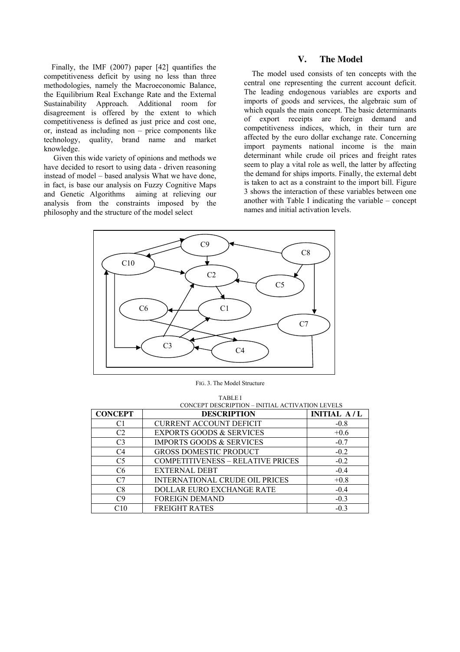Finally, the IMF (2007) paper [42] quantifies the competitiveness deficit by using no less than three methodologies, namely the Macroeconomic Balance, the Equilibrium Real Exchange Rate and the External Sustainability Approach. Additional room for disagreement is offered by the extent to which competitiveness is defined as just price and cost one, or, instead as including non – price components like technology, quality, brand name and market knowledge.

 Given this wide variety of opinions and methods we have decided to resort to using data - driven reasoning instead of model – based analysis What we have done, in fact, is base our analysis on Fuzzy Cognitive Maps and Genetic Algorithms aiming at relieving our analysis from the constraints imposed by the philosophy and the structure of the model select

# **V. The Model**

The model used consists of ten concepts with the central one representing the current account deficit. The leading endogenous variables are exports and imports of goods and services, the algebraic sum of which equals the main concept. The basic determinants of export receipts are foreign demand and competitiveness indices, which, in their turn are affected by the euro dollar exchange rate. Concerning import payments national income is the main determinant while crude oil prices and freight rates seem to play a vital role as well, the latter by affecting the demand for ships imports. Finally, the external debt is taken to act as a constraint to the import bill. Figure 3 shows the interaction of these variables between one another with Table I indicating the variable – concept names and initial activation levels.



FIG. 3. The Model Structure

| \ RI |
|------|
|      |

| <b>CONCEPT</b> | CONCEPT DESCRIPTION - INITIAL ACTIVATION LEVELS<br><b>DESCRIPTION</b> | <b>INITIAL A/L</b> |
|----------------|-----------------------------------------------------------------------|--------------------|
| C1             | <b>CURRENT ACCOUNT DEFICIT</b>                                        | $-0.8$             |
| C <sub>2</sub> | <b>EXPORTS GOODS &amp; SERVICES</b>                                   | $+0.6$             |
| C <sub>3</sub> | <b>IMPORTS GOODS &amp; SERVICES</b>                                   | $-0.7$             |
| C <sub>4</sub> | <b>GROSS DOMESTIC PRODUCT</b>                                         | $-0.2$             |
| C <sub>5</sub> | <b>COMPETITIVENESS - RELATIVE PRICES</b>                              | $-0.2$             |
| C <sub>6</sub> | <b>EXTERNAL DEBT</b>                                                  | $-0.4$             |
| C7             | <b>INTERNATIONAL CRUDE OIL PRICES</b>                                 | $+0.8$             |
| C8             | <b>DOLLAR EURO EXCHANGE RATE</b>                                      | $-0.4$             |
| C9             | <b>FOREIGN DEMAND</b>                                                 | $-0.3$             |
| C10            | <b>FREIGHT RATES</b>                                                  | $-0.3$             |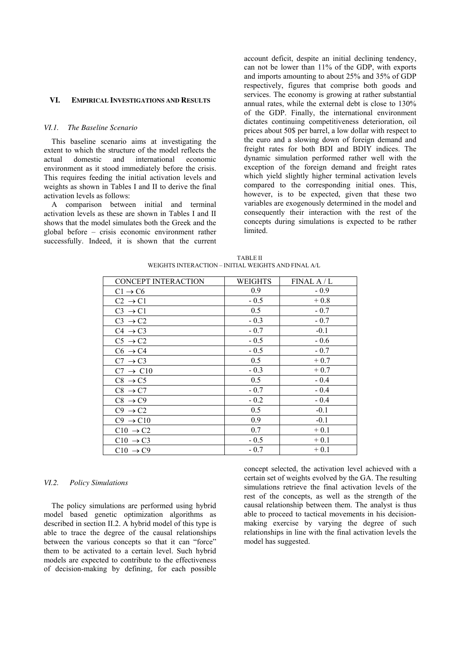#### **VI. EMPIRICAL INVESTIGATIONS AND RESULTS**

#### *VI.1. The Baseline Scenario*

This baseline scenario aims at investigating the extent to which the structure of the model reflects the actual domestic and international economic environment as it stood immediately before the crisis. This requires feeding the initial activation levels and weights as shown in Tables I and II to derive the final activation levels as follows:

A comparison between initial and terminal activation levels as these are shown in Tables I and II shows that the model simulates both the Greek and the global before – crisis economic environment rather successfully. Indeed, it is shown that the current account deficit, despite an initial declining tendency, can not be lower than 11% of the GDP, with exports and imports amounting to about 25% and 35% of GDP respectively, figures that comprise both goods and services. The economy is growing at rather substantial annual rates, while the external debt is close to 130% of the GDP. Finally, the international environment dictates continuing competitiveness deterioration, oil prices about 50\$ per barrel, a low dollar with respect to the euro and a slowing down of foreign demand and freight rates for both BDI and BDIY indices. The dynamic simulation performed rather well with the exception of the foreign demand and freight rates which yield slightly higher terminal activation levels compared to the corresponding initial ones. This, however, is to be expected, given that these two variables are exogenously determined in the model and consequently their interaction with the rest of the concepts during simulations is expected to be rather **limited** 

| <b>CONCEPT INTERACTION</b> | WEIGHTS | FINALA/L |
|----------------------------|---------|----------|
| $C1 \rightarrow C6$        | 0.9     | $-0.9$   |
| $C2 \rightarrow C1$        | $-0.5$  | $+0.8$   |
| $C3 \rightarrow C1$        | 0.5     | $-0.7$   |
| $C3 \rightarrow C2$        | $-0.3$  | $-0.7$   |
| $C4 \rightarrow C3$        | $-0.7$  | $-0.1$   |
| $C5 \rightarrow C2$        | $-0.5$  | $-0.6$   |
| $C6 \rightarrow C4$        | $-0.5$  | $-0.7$   |
| $C7 \rightarrow C3$        | 0.5     | $+0.7$   |
| $C7 \rightarrow C10$       | $-0.3$  | $+0.7$   |
| $C8 \rightarrow C5$        | 0.5     | $-0.4$   |
| $C8 \rightarrow C7$        | $-0.7$  | $-0.4$   |
| $C8 \rightarrow C9$        | $-0.2$  | $-0.4$   |
| $C9 \rightarrow C2$        | 0.5     | $-0.1$   |
| $C9 \rightarrow C10$       | 0.9     | $-0.1$   |
| $C10 \rightarrow C2$       | 0.7     | $+0.1$   |
| $C10 \rightarrow C3$       | $-0.5$  | $+0.1$   |
| $C10 \rightarrow C9$       | $-0.7$  | $+0.1$   |

 TABLE II WEIGHTS INTERACTION – INITIAL WEIGHTS AND FINAL A/L

#### *VI.2. Policy Simulations*

The policy simulations are performed using hybrid model based genetic optimization algorithms as described in section II.2. A hybrid model of this type is able to trace the degree of the causal relationships between the various concepts so that it can "force" them to be activated to a certain level. Such hybrid models are expected to contribute to the effectiveness of decision-making by defining, for each possible concept selected, the activation level achieved with a certain set of weights evolved by the GA. The resulting simulations retrieve the final activation levels of the rest of the concepts, as well as the strength of the causal relationship between them. The analyst is thus able to proceed to tactical movements in his decisionmaking exercise by varying the degree of such relationships in line with the final activation levels the model has suggested.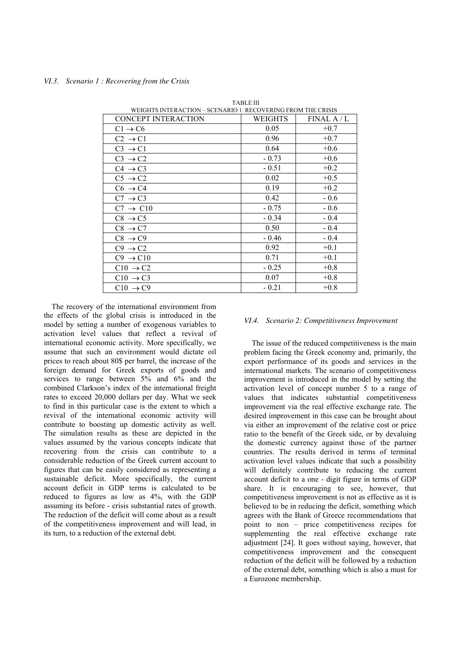| WEIGHTS INTERACTION – SCENARIO 1: RECOVERING FROM THE CRISIS |         |          |  |  |  |  |
|--------------------------------------------------------------|---------|----------|--|--|--|--|
| <b>CONCEPT INTERACTION</b>                                   | WEIGHTS | FINALA/L |  |  |  |  |
| $C1 \rightarrow C6$                                          | 0.05    | $+0.7$   |  |  |  |  |
| $C2 \rightarrow C1$                                          | 0.96    | $+0.7$   |  |  |  |  |
| $C3 \rightarrow C1$                                          | 0.64    | $+0.6$   |  |  |  |  |
| $C3 \rightarrow C2$                                          | $-0.73$ | $+0.6$   |  |  |  |  |
| $C4 \rightarrow C3$                                          | $-0.51$ | $+0.2$   |  |  |  |  |
| $C5 \rightarrow C2$                                          | 0.02    | $+0.5$   |  |  |  |  |
| $C6 \rightarrow C4$                                          | 0.19    | $+0.2$   |  |  |  |  |
| $C7 \rightarrow C3$                                          | 0.42    | $-0.6$   |  |  |  |  |
| $C7 \rightarrow C10$                                         | $-0.75$ | $-0.6$   |  |  |  |  |
| $C8 \rightarrow C5$                                          | $-0.34$ | $-0.4$   |  |  |  |  |
| $C8 \rightarrow C7$                                          | 0.50    | $-0.4$   |  |  |  |  |
| $C8 \rightarrow C9$                                          | $-0.46$ | $-0.4$   |  |  |  |  |
| $C9 \rightarrow C2$                                          | 0.92    | $+0.1$   |  |  |  |  |
| $C9 \rightarrow C10$                                         | 0.71    | $+0.1$   |  |  |  |  |
| $C10 \rightarrow C2$                                         | $-0.25$ | $+0.8$   |  |  |  |  |
| $C10 \rightarrow C3$                                         | 0.07    | $+0.8$   |  |  |  |  |
| $C10 \rightarrow C9$                                         | $-0.21$ | $+0.8$   |  |  |  |  |

TABLE III

The recovery of the international environment from the effects of the global crisis is introduced in the model by setting a number of exogenous variables to activation level values that reflect a revival of international economic activity. More specifically, we assume that such an environment would dictate oil prices to reach about 80\$ per barrel, the increase of the foreign demand for Greek exports of goods and services to range between  $5\%$  and  $6\%$  and the combined Clarkson's index of the international freight rates to exceed 20,000 dollars per day. What we seek to find in this particular case is the extent to which a revival of the international economic activity will contribute to boosting up domestic activity as well. The simulation results as these are depicted in the values assumed by the various concepts indicate that recovering from the crisis can contribute to a considerable reduction of the Greek current account to figures that can be easily considered as representing a sustainable deficit. More specifically, the current account deficit in GDP terms is calculated to be reduced to figures as low as 4%, with the GDP assuming its before - crisis substantial rates of growth. The reduction of the deficit will come about as a result of the competitiveness improvement and will lead, in its turn, to a reduction of the external debt.

#### *VI.4. Scenario 2: Competitiveness Improvement*

The issue of the reduced competitiveness is the main problem facing the Greek economy and, primarily, the export performance of its goods and services in the international markets. The scenario of competitiveness improvement is introduced in the model by setting the activation level of concept number 5 to a range of values that indicates substantial competitiveness improvement via the real effective exchange rate. The desired improvement in this case can be brought about via either an improvement of the relative cost or price ratio to the benefit of the Greek side, or by devaluing the domestic currency against those of the partner countries. The results derived in terms of terminal activation level values indicate that such a possibility will definitely contribute to reducing the current account deficit to a one - digit figure in terms of GDP share. It is encouraging to see, however, that competitiveness improvement is not as effective as it is believed to be in reducing the deficit, something which agrees with the Bank of Greece recommendations that point to non – price competitiveness recipes for supplementing the real effective exchange rate adjustment [24]. It goes without saying, however, that competitiveness improvement and the consequent reduction of the deficit will be followed by a reduction of the external debt, something which is also a must for a Eurozone membership.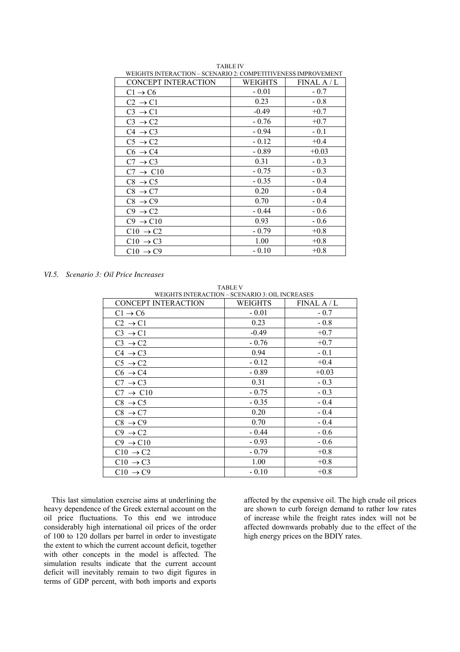| WEIGHTS INTERACTION = SCENARIO 2. COMPETITIVENESS IMPROVEMENT |         |          |
|---------------------------------------------------------------|---------|----------|
| <b>CONCEPT INTERACTION</b>                                    | WEIGHTS | FINALA/L |
| $C1 \rightarrow C6$                                           | $-0.01$ | $-0.7$   |
| $C2 \rightarrow C1$                                           | 0.23    | $-0.8$   |
| $C3 \rightarrow C1$                                           | $-0.49$ | $+0.7$   |
| $C3 \rightarrow C2$                                           | $-0.76$ | $+0.7$   |
| $C4 \rightarrow C3$                                           | $-0.94$ | $-0.1$   |
| $C5 \rightarrow C2$                                           | $-0.12$ | $+0.4$   |
| $C6 \rightarrow C4$                                           | $-0.89$ | $+0.03$  |
| $C7 \rightarrow C3$                                           | 0.31    | $-0.3$   |
| $C7 \rightarrow C10$                                          | $-0.75$ | $-0.3$   |
| $C8 \rightarrow C5$                                           | $-0.35$ | $-0.4$   |
| $C8 \rightarrow C7$                                           | 0.20    | $-0.4$   |
| $C8 \rightarrow C9$                                           | 0.70    | $-0.4$   |
| $C9 \rightarrow C2$                                           | $-0.44$ | $-0.6$   |
| $C9 \rightarrow C10$                                          | 0.93    | $-0.6$   |
| $C10 \rightarrow C2$                                          | $-0.79$ | $+0.8$   |
| $C10 \rightarrow C3$                                          | 1.00    | $+0.8$   |
| $C10 \rightarrow C9$                                          | $-0.10$ | $+0.8$   |

TABLE IV WEIGHTS INTERACTION – SCENARIO 2: COMPETITIVENESS IMPROVEMENT

*VI.5. Scenario 3: Oil Price Increases* 

| <b>TABLE V</b>                                  |         |             |  |  |  |
|-------------------------------------------------|---------|-------------|--|--|--|
| WEIGHTS INTERACTION - SCENARIO 3: OIL INCREASES |         |             |  |  |  |
| <b>CONCEPT INTERACTION</b>                      | WEIGHTS | FINAL A / L |  |  |  |
| $C1 \rightarrow C6$                             | $-0.01$ | $-0.7$      |  |  |  |
| $C2 \rightarrow C1$                             | 0.23    | $-0.8$      |  |  |  |
| $C3 \rightarrow C1$                             | $-0.49$ | $+0.7$      |  |  |  |
| $C3 \rightarrow C2$                             | $-0.76$ | $+0.7$      |  |  |  |
| $C4 \rightarrow C3$                             | 0.94    | $-0.1$      |  |  |  |
| $C5 \rightarrow C2$                             | $-0.12$ | $+0.4$      |  |  |  |
| $C6 \rightarrow C4$                             | $-0.89$ | $+0.03$     |  |  |  |
| $C7 \rightarrow C3$                             | 0.31    | $-0.3$      |  |  |  |
| $C7 \rightarrow C10$                            | $-0.75$ | $-0.3$      |  |  |  |
| $C8 \rightarrow C5$                             | $-0.35$ | $-0.4$      |  |  |  |
| $C8 \rightarrow C7$                             | 0.20    | $-0.4$      |  |  |  |
| $C8 \rightarrow C9$                             | 0.70    | $-0.4$      |  |  |  |
| $C9 \rightarrow C2$                             | $-0.44$ | $-0.6$      |  |  |  |
| $C9 \rightarrow C10$                            | $-0.93$ | $-0.6$      |  |  |  |
| $C10 \rightarrow C2$                            | $-0.79$ | $+0.8$      |  |  |  |
| $C10 \rightarrow C3$                            | 1.00    | $+0.8$      |  |  |  |
| $C10 \rightarrow C9$                            | $-0.10$ | $+0.8$      |  |  |  |

This last simulation exercise aims at underlining the heavy dependence of the Greek external account on the oil price fluctuations. To this end we introduce considerably high international oil prices of the order of 100 to 120 dollars per barrel in order to investigate the extent to which the current account deficit, together with other concepts in the model is affected. The simulation results indicate that the current account deficit will inevitably remain to two digit figures in terms of GDP percent, with both imports and exports affected by the expensive oil. The high crude oil prices are shown to curb foreign demand to rather low rates of increase while the freight rates index will not be affected downwards probably due to the effect of the high energy prices on the BDIY rates.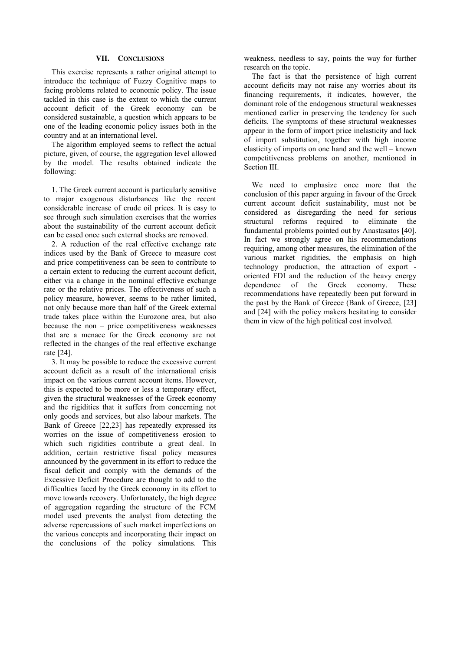#### **VII. CONCLUSIONS**

This exercise represents a rather original attempt to introduce the technique of Fuzzy Cognitive maps to facing problems related to economic policy. The issue tackled in this case is the extent to which the current account deficit of the Greek economy can be considered sustainable, a question which appears to be one of the leading economic policy issues both in the country and at an international level.

The algorithm employed seems to reflect the actual picture, given, of course, the aggregation level allowed by the model. The results obtained indicate the following:

1. The Greek current account is particularly sensitive to major exogenous disturbances like the recent considerable increase of crude oil prices. It is easy to see through such simulation exercises that the worries about the sustainability of the current account deficit can be eased once such external shocks are removed.

2. A reduction of the real effective exchange rate indices used by the Bank of Greece to measure cost and price competitiveness can be seen to contribute to a certain extent to reducing the current account deficit, either via a change in the nominal effective exchange rate or the relative prices. The effectiveness of such a policy measure, however, seems to be rather limited, not only because more than half of the Greek external trade takes place within the Eurozone area, but also because the non – price competitiveness weaknesses that are a menace for the Greek economy are not reflected in the changes of the real effective exchange rate [24].

3. It may be possible to reduce the excessive current account deficit as a result of the international crisis impact on the various current account items. However, this is expected to be more or less a temporary effect, given the structural weaknesses of the Greek economy and the rigidities that it suffers from concerning not only goods and services, but also labour markets. The Bank of Greece [22,23] has repeatedly expressed its worries on the issue of competitiveness erosion to which such rigidities contribute a great deal. In addition, certain restrictive fiscal policy measures announced by the government in its effort to reduce the fiscal deficit and comply with the demands of the Excessive Deficit Procedure are thought to add to the difficulties faced by the Greek economy in its effort to move towards recovery. Unfortunately, the high degree of aggregation regarding the structure of the FCM model used prevents the analyst from detecting the adverse repercussions of such market imperfections on the various concepts and incorporating their impact on the conclusions of the policy simulations. This weakness, needless to say, points the way for further research on the topic.

The fact is that the persistence of high current account deficits may not raise any worries about its financing requirements, it indicates, however, the dominant role of the endogenous structural weaknesses mentioned earlier in preserving the tendency for such deficits. The symptoms of these structural weaknesses appear in the form of import price inelasticity and lack of import substitution, together with high income elasticity of imports on one hand and the well – known competitiveness problems on another, mentioned in Section III.

We need to emphasize once more that the conclusion of this paper arguing in favour of the Greek current account deficit sustainability, must not be considered as disregarding the need for serious structural reforms required to eliminate the fundamental problems pointed out by Anastasatos [40]. In fact we strongly agree on his recommendations requiring, among other measures, the elimination of the various market rigidities, the emphasis on high technology production, the attraction of export oriented FDI and the reduction of the heavy energy dependence of the Greek economy. These recommendations have repeatedly been put forward in the past by the Bank of Greece (Bank of Greece, [23] and [24] with the policy makers hesitating to consider them in view of the high political cost involved.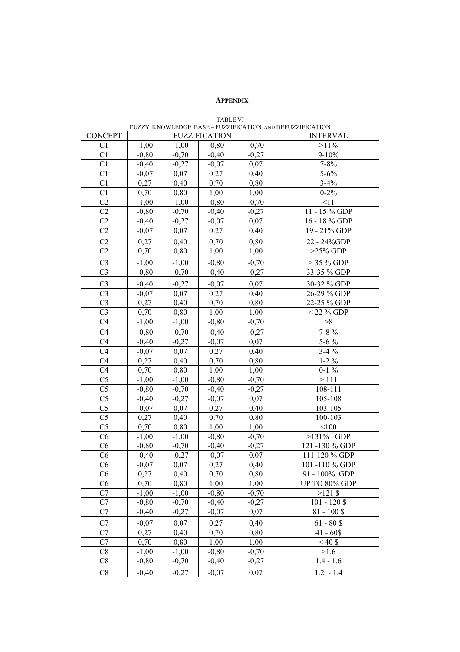# **APPENDIX**

| FUZZY KNOWLEDGE BASE-FUZZIFICATION AND DEFUZZIFICATION |                    |         |                      |                    |                      |
|--------------------------------------------------------|--------------------|---------|----------------------|--------------------|----------------------|
| <b>CONCEPT</b>                                         |                    |         | <b>FUZZIFICATION</b> |                    | <b>INTERVAL</b>      |
| C <sub>1</sub>                                         | $-1,00$            | $-1,00$ | $-0,80$              | $-0,70$            | $>11\%$              |
| C <sub>1</sub>                                         | $-0.80$            | $-0,70$ | $-0,40$              | $-0,27$            | $9 - 10%$            |
| C <sub>1</sub>                                         | $-0,40$            | $-0,27$ | $-0,07$              | 0,07               | $7 - 8\%$            |
| C <sub>1</sub>                                         | $-0.07$            | 0,07    | 0,27                 | 0,40               | $5 - 6\%$            |
| C1                                                     | 0,27               | 0,40    | 0,70                 | 0,80               | $3 - 4\%$            |
| C <sub>1</sub>                                         | 0,70               | 0,80    | 1,00                 | 1,00               | $0 - 2\%$            |
| C <sub>2</sub>                                         | $-1,00$            | $-1,00$ | $-0,80$              | $-0,70$            | <11                  |
| C <sub>2</sub>                                         | $-0,80$            | $-0,70$ | $-0,40$              | $-0,27$            | 11 - 15 % GDP        |
| C <sub>2</sub>                                         | $-0,40$            | $-0,27$ | $-0,07$              | 0,07               | 16 - 18 % GDP        |
| C <sub>2</sub>                                         | $-0,07$            | 0,07    | 0,27                 | 0,40               | 19 - 21% GDP         |
| C <sub>2</sub>                                         | 0,27               | 0,40    | 0,70                 | 0,80               | 22 - 24%GDP          |
| C <sub>2</sub>                                         | 0,70               | 0,80    | 1,00                 | 1,00               | $>25\%$ GDP          |
|                                                        |                    |         |                      |                    | $>$ 35 % GDP         |
| C <sub>3</sub><br>C <sub>3</sub>                       | $-1,00$<br>$-0,80$ | $-1,00$ | $-0,80$<br>$-0,40$   | $-0,70$<br>$-0,27$ | 33-35 % GDP          |
|                                                        |                    | $-0,70$ |                      |                    |                      |
| C <sub>3</sub>                                         | $-0,40$            | $-0,27$ | $-0,07$              | 0,07               | 30-32 % GDP          |
| C <sub>3</sub>                                         | $-0,07$            | 0,07    | 0,27                 | 0,40               | 26-29 % GDP          |
| C <sub>3</sub>                                         | 0,27               | 0,40    | 0,70                 | 0,80               | 22-25 % GDP          |
| C <sub>3</sub>                                         | 0,70               | 0,80    | 1,00                 | 1,00               | $<$ 22 % GDP         |
| C <sub>4</sub>                                         | $-1,00$            | $-1,00$ | $-0,80$              | $-0,70$            | >8                   |
| C <sub>4</sub>                                         | $-0,80$            | $-0,70$ | $-0,40$              | $-0,27$            | $7 - 8 \%$           |
| C <sub>4</sub>                                         | $-0,40$            | $-0,27$ | $-0,07$              | 0,07               | $5 - 6\%$            |
| C <sub>4</sub>                                         | $-0,07$            | 0,07    | 0,27                 | 0,40               | $3-4%$               |
| C <sub>4</sub>                                         | 0,27               | 0,40    | 0,70                 | 0,80               | $1-2\%$              |
| C <sub>4</sub>                                         | 0,70               | 0,80    | 1,00                 | 1,00               | $0-1\%$              |
| C <sub>5</sub>                                         | $-1,00$            | $-1,00$ | $-0,80$              | $-0,70$            | >111                 |
| C <sub>5</sub>                                         | $-0,80$            | $-0,70$ | $-0,40$              | $-0,27$            | 108-111              |
| C <sub>5</sub>                                         | $-0,40$            | $-0,27$ | $-0,07$              | 0,07               | 105-108              |
| C <sub>5</sub>                                         | $-0,07$            | 0,07    | 0,27                 | 0,40               | 103-105              |
| C <sub>5</sub>                                         | 0,27               | 0,40    | 0,70                 | 0,80               | 100-103              |
| C <sub>5</sub>                                         | 0,70               | 0,80    | 1,00                 | 1,00               | < 100                |
| C6                                                     | $-1,00$            | $-1,00$ | $-0,80$              | $-0,70$            | $>131\%$ GDP         |
| C <sub>6</sub>                                         | $-0,80$            | $-0,70$ | $-0,40$              | $-0,27$            | 121-130 % GDP        |
| C6                                                     | $-0,40$            | $-0,27$ | $-0,07$              | 0,07               | 111-120 % GDP        |
| C6                                                     | $-0.07$            | 0.07    | 0,27                 | 0,40               | 101-110 % GDP        |
| C <sub>6</sub>                                         | 0,27               | 0,40    | 0,70                 | 0,80               | 91 - 100% GDP        |
| C6                                                     | 0,70               | 0,80    | 1,00                 | 1,00               | <b>UP TO 80% GDP</b> |
| C7                                                     | $-1,00$            | $-1,00$ | $-0,80$              | $-0,70$            | $>121$ \$            |
| C7                                                     | $-0,80$            | $-0,70$ | $-0,40$              | $-0,27$            | $101 - 120$ \$       |
| C7                                                     | $-0,40$            | $-0,27$ | $-0,07$              | 0,07               | $81 - 100\$          |
| C7                                                     | $-0,07$            | 0,07    | 0,27                 | 0,40               | $61 - 80$ \$         |
| C7                                                     | 0,27               | 0,40    | 0,70                 | 0,80               | $41 - 60$ \$         |
| C7                                                     | 0,70               | 0,80    | 1,00                 | 1,00               | $< 40$ \$            |
| C8                                                     | $-1,00$            | $-1,00$ | $-0,80$              | $-0,70$            | >1.6                 |
| C8                                                     | $-0,80$            | $-0,70$ | $-0,40$              | $-0,27$            | $1.4 - 1.6$          |
| C8                                                     | $-0,40$            | $-0,27$ | $-0,07$              | 0,07               | $1.2 - 1.4$          |
|                                                        |                    |         |                      |                    |                      |

TABLE VI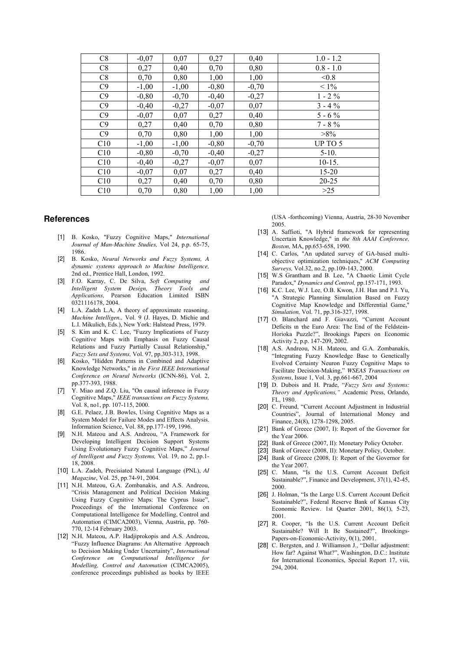| C8  | $-0,07$ | 0,07    | 0,27    | 0,40    | $1.0 - 1.2$ |
|-----|---------|---------|---------|---------|-------------|
| C8  | 0,27    | 0,40    | 0,70    | 0,80    | $0.8 - 1.0$ |
| C8  | 0,70    | 0,80    | 1,00    | 1,00    | < 0.8       |
| C9  | $-1,00$ | $-1,00$ | $-0,80$ | $-0,70$ | $< 1\%$     |
| C9  | $-0,80$ | $-0,70$ | $-0,40$ | $-0,27$ | $1 - 2\%$   |
| C9  | $-0,40$ | $-0,27$ | $-0.07$ | 0,07    | $3 - 4\%$   |
| C9  | $-0,07$ | 0,07    | 0,27    | 0,40    | $5 - 6\%$   |
| C9  | 0,27    | 0,40    | 0,70    | 0,80    | $7 - 8 \%$  |
| C9  | 0,70    | 0,80    | 1,00    | 1,00    | $>8\%$      |
| C10 | $-1,00$ | $-1,00$ | $-0,80$ | $-0,70$ | UP TO 5     |
| C10 | $-0,80$ | $-0,70$ | $-0,40$ | $-0,27$ | $5 - 10.$   |
| C10 | $-0,40$ | $-0,27$ | $-0,07$ | 0,07    | $10-15.$    |
| C10 | $-0,07$ | 0,07    | 0,27    | 0,40    | $15 - 20$   |
| C10 | 0,27    | 0,40    | 0,70    | 0,80    | $20 - 25$   |
| C10 | 0,70    | 0,80    | 1,00    | 1,00    | >25         |

#### **References**

- [1] B. Kosko, "Fuzzy Cognitive Maps," *International Journal of Man-Machine Studies,* Vol 24, p.p. 65-75, 1986.
- [2] B. Kosko, *Neural Networks and Fuzzy Systems, A dynamic systems approach to Machine Intelligence,* 2nd ed., Prentice Hall, London, 1992.
- [3] F.O. Karray, C. De Silva, *Soft Computing and Intelligent System Design, Theory Tools and Applications,* Pearson Education Limited ISBN 0321116178, 2004
- [4] L.A. Zadeh L.A, A theory of approximate reasoning. *Machine Intelligen.,* Vol. 9 (J. Hayes, D. Michie and L.I. Mikulich, Eds.), New York: Halstead Press, 1979.
- [5] S. Kim and K. C. Lee, "Fuzzy Implications of Fuzzy Cognitive Maps with Emphasis on Fuzzy Causal Relations and Fuzzy Partially Causal Relationship," *Fuzzy Sets and Systems,* Vol. 97, pp.303-313, 1998.
- [6] Kosko, "Hidden Patterns in Combined and Adaptive Knowledge Networks," in *the First IEEE International Conference on Neural Networks* (ICNN-86), Vol. 2, pp.377-393, 1988.
- [7] Y. Miao and Z.Q. Liu, "On causal inference in Fuzzy Cognitive Maps," *IEEE transactions on Fuzzy Systems,* Vol. 8, no1, pp. 107-115, 2000.
- [8] G.E. Pelaez, J.B. Bowles, Using Cognitive Maps as a System Model for Failure Modes and Effects Analysis. Information Science, Vol. 88, pp.177-199, 1996.
- [9] N.H. Mateou and A.S. Andreou, "A Framework for Developing Intelligent Decision Support Systems Using Evolutionary Fuzzy Cognitive Maps," *Journal of Intelligent and Fuzzy Systems,* Vol*.* 19, no 2, pp.1- 18, 2008.
- [10] L.A. Zadeh, Precisiated Natural Language (PNL), *AI Magazine*, Vol. 25, pp.74-91, 2004.
- [11] N.H. Mateou, G.A. Zombanakis, and A.S. Andreou, "Crisis Management and Political Decision Making Using Fuzzy Cognitive Maps: The Cyprus Issue", Proceedings of the International Conference on Computational Intelligence for Modelling, Control and Automation (CIMCA2003), Vienna, Austria, pp. 760- 770, 12-14 February 2003.
- [12] N.H. Mateou, A.P. Hadjiprokopis and A.S. Andreou, "Fuzzy Influence Diagrams: An Alternative Approach to Decision Making Under Uncertainty", *International Conference on Computational Intelligence for Modelling, Control and Automation* (CIMCA2005), conference proceedings published as books by IEEE

(USA -forthcoming) Vienna, Austria, 28-30 November 2005.

- [13] A. Saffioti, "A Hybrid framework for representing Uncertain Knowledge," in *the 8th AAAI Conference, Boston,* MA, pp.653-658, 1990.
- [14] C. Carlos, "An updated survey of GA-based multiobjective optimization techniques," *ACM Computing Surveys,* Vol.32, no.2, pp.109-143, 2000.
- [15] W.S Grantham and B. Lee, "A Chaotic Limit Cycle Paradox," *Dynamics and Control,* pp.157-171, 1993.
- [16] K.C. Lee, W.J. Lee, O.B. Kwon, J.H. Han and P.I. Yu, "A Strategic Planning Simulation Based on Fuzzy Cognitive Map Knowledge and Differential Game," *Simulation,* Vol. 71, pp.316-327, 1998.
- [17] O. Blanchard and F. Giavazzi, "Current Account Deficits ιn τhe Euro Area: The End οf the Feldstein-Horioka Puzzle?", Brookings Papers on Economic Activity 2, p.p. 147-209, 2002.
- [18] A.S. Andreou, N.H. Mateou, and G.A. Zombanakis, "Integrating Fuzzy Knowledge Base to Genetically Evolved Certainty Neuron Fuzzy Cognitive Maps to Facilitate Decision-Making," *WSEAS Transactions on Systems*, Issue 1, Vol. 3, pp.661-667, 2004
- [19] D. Dubois and H. Prade, "*Fuzzy Sets and Systems: Theory and Applications,"* Academic Press, Orlando, FL, 1980.
- [20] C. Freund, "Current Account Adjustment in Industrial Countries", Journal of International Money and Finance, 24(8), 1278-1298, 2005.
- [21] Bank of Greece (2007, I): Report of the Governor for the Year 2006.
- [22] Bank of Greece (2007, II): Monetary Policy October.
- [23] Bank of Greece (2008, II): Monetary Policy, October.
- [24] Bank of Greece (2008, I): Report of the Governor for the Year 2007.
- [25] C. Mann, "Is the U.S. Current Account Deficit Sustainable?", Finance and Development, 37(1), 42-45, 2000.
- [26] J. Holman, "Is the Large U.S. Current Account Deficit Sustainable?", Federal Reserve Bank of Kansas City Economic Review. 1st Quarter 2001, 86(1), 5-23, 2001.
- [27] R. Cooper, "Is the U.S. Current Account Deficit Sustainable? Will It Be Sustained?", Brookings-Papers-on-Economic-Activity, 0(1), 2001.
- [28] C. Bergsten, and J. Williamson J., "Dollar adjustment: How far? Against What?", Washington, D.C.: Institute for International Economics, Special Report 17, viii, 294, 2004.